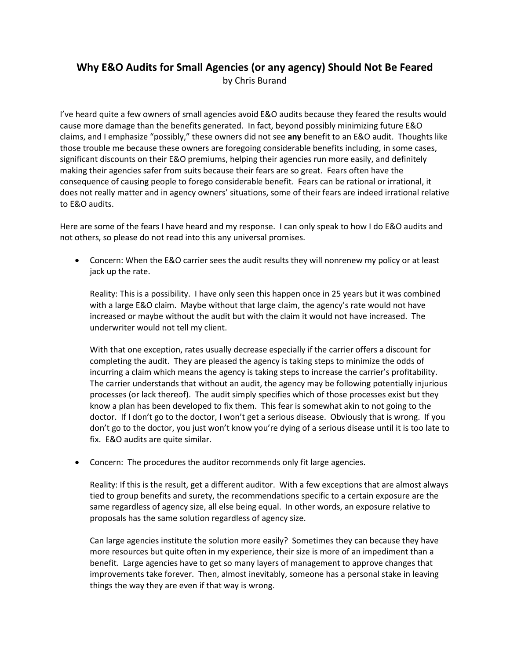## **Why E&O Audits for Small Agencies (or any agency) Should Not Be Feared** by Chris Burand

I've heard quite a few owners of small agencies avoid E&O audits because they feared the results would cause more damage than the benefits generated. In fact, beyond possibly minimizing future E&O claims, and I emphasize "possibly," these owners did not see **any** benefit to an E&O audit. Thoughts like those trouble me because these owners are foregoing considerable benefits including, in some cases, significant discounts on their E&O premiums, helping their agencies run more easily, and definitely making their agencies safer from suits because their fears are so great. Fears often have the consequence of causing people to forego considerable benefit. Fears can be rational or irrational, it does not really matter and in agency owners' situations, some of their fears are indeed irrational relative to E&O audits.

Here are some of the fears I have heard and my response. I can only speak to how I do E&O audits and not others, so please do not read into this any universal promises.

• Concern: When the E&O carrier sees the audit results they will nonrenew my policy or at least jack up the rate.

Reality: This is a possibility. I have only seen this happen once in 25 years but it was combined with a large E&O claim. Maybe without that large claim, the agency's rate would not have increased or maybe without the audit but with the claim it would not have increased. The underwriter would not tell my client.

With that one exception, rates usually decrease especially if the carrier offers a discount for completing the audit. They are pleased the agency is taking steps to minimize the odds of incurring a claim which means the agency is taking steps to increase the carrier's profitability. The carrier understands that without an audit, the agency may be following potentially injurious processes (or lack thereof). The audit simply specifies which of those processes exist but they know a plan has been developed to fix them. This fear is somewhat akin to not going to the doctor. If I don't go to the doctor, I won't get a serious disease. Obviously that is wrong. If you don't go to the doctor, you just won't know you're dying of a serious disease until it is too late to fix. E&O audits are quite similar.

• Concern: The procedures the auditor recommends only fit large agencies.

Reality: If this is the result, get a different auditor. With a few exceptions that are almost always tied to group benefits and surety, the recommendations specific to a certain exposure are the same regardless of agency size, all else being equal. In other words, an exposure relative to proposals has the same solution regardless of agency size.

Can large agencies institute the solution more easily? Sometimes they can because they have more resources but quite often in my experience, their size is more of an impediment than a benefit. Large agencies have to get so many layers of management to approve changes that improvements take forever. Then, almost inevitably, someone has a personal stake in leaving things the way they are even if that way is wrong.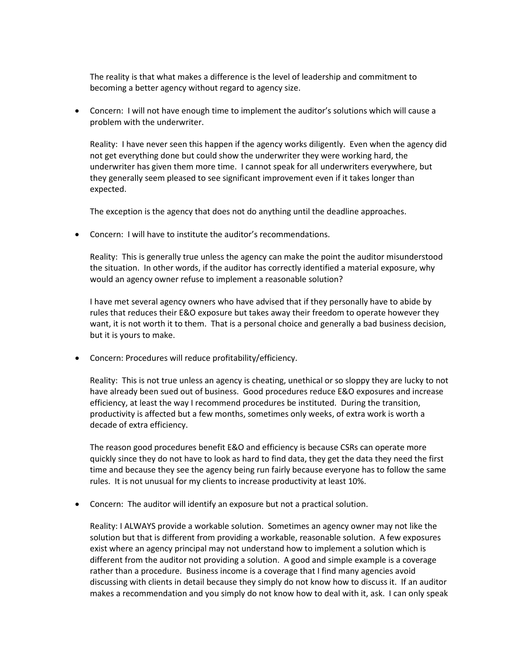The reality is that what makes a difference is the level of leadership and commitment to becoming a better agency without regard to agency size.

• Concern: I will not have enough time to implement the auditor's solutions which will cause a problem with the underwriter.

Reality: I have never seen this happen if the agency works diligently. Even when the agency did not get everything done but could show the underwriter they were working hard, the underwriter has given them more time. I cannot speak for all underwriters everywhere, but they generally seem pleased to see significant improvement even if it takes longer than expected.

The exception is the agency that does not do anything until the deadline approaches.

• Concern: I will have to institute the auditor's recommendations.

Reality: This is generally true unless the agency can make the point the auditor misunderstood the situation. In other words, if the auditor has correctly identified a material exposure, why would an agency owner refuse to implement a reasonable solution?

I have met several agency owners who have advised that if they personally have to abide by rules that reduces their E&O exposure but takes away their freedom to operate however they want, it is not worth it to them. That is a personal choice and generally a bad business decision, but it is yours to make.

• Concern: Procedures will reduce profitability/efficiency.

Reality: This is not true unless an agency is cheating, unethical or so sloppy they are lucky to not have already been sued out of business. Good procedures reduce E&O exposures and increase efficiency, at least the way I recommend procedures be instituted. During the transition, productivity is affected but a few months, sometimes only weeks, of extra work is worth a decade of extra efficiency.

The reason good procedures benefit E&O and efficiency is because CSRs can operate more quickly since they do not have to look as hard to find data, they get the data they need the first time and because they see the agency being run fairly because everyone has to follow the same rules. It is not unusual for my clients to increase productivity at least 10%.

• Concern: The auditor will identify an exposure but not a practical solution.

Reality: I ALWAYS provide a workable solution. Sometimes an agency owner may not like the solution but that is different from providing a workable, reasonable solution. A few exposures exist where an agency principal may not understand how to implement a solution which is different from the auditor not providing a solution. A good and simple example is a coverage rather than a procedure. Business income is a coverage that I find many agencies avoid discussing with clients in detail because they simply do not know how to discuss it. If an auditor makes a recommendation and you simply do not know how to deal with it, ask. I can only speak